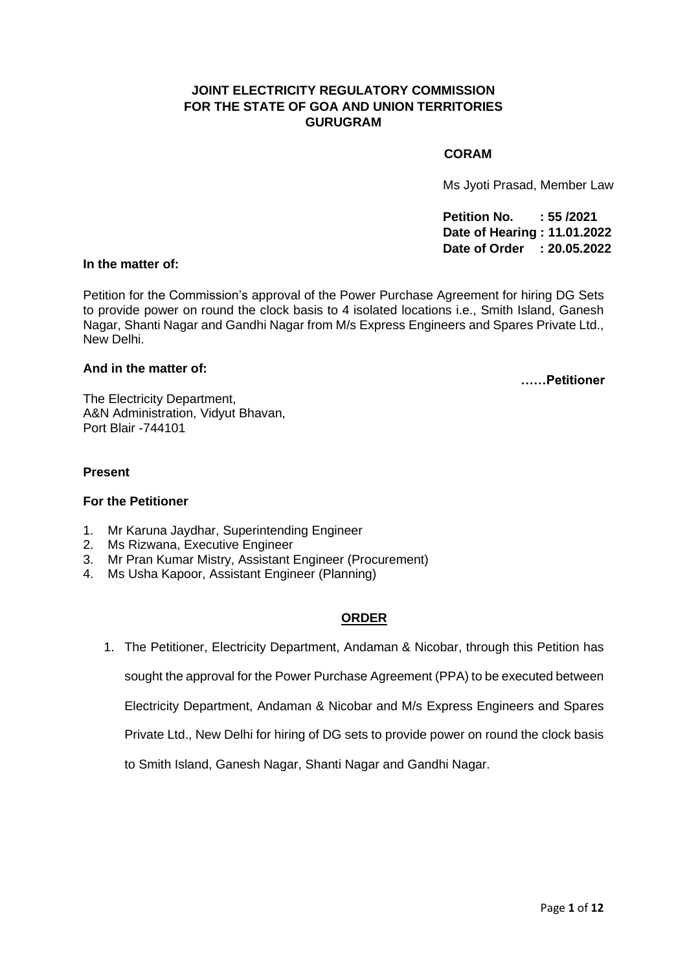## **JOINT ELECTRICITY REGULATORY COMMISSION FOR THE STATE OF GOA AND UNION TERRITORIES GURUGRAM**

#### **CORAM**

Ms Jyoti Prasad, Member Law

**Petition No. : 55 /2021 Date of Hearing : 11.01.2022 Date of Order : 20.05.2022**

#### **In the matter of:**

Petition for the Commission's approval of the Power Purchase Agreement for hiring DG Sets to provide power on round the clock basis to 4 isolated locations i.e., Smith Island, Ganesh Nagar, Shanti Nagar and Gandhi Nagar from M/s Express Engineers and Spares Private Ltd., New Delhi.

## **And in the matter of:**

**……Petitioner**

The Electricity Department, A&N Administration, Vidyut Bhavan, Port Blair -744101

#### **Present**

### **For the Petitioner**

- 1. Mr Karuna Jaydhar, Superintending Engineer
- 2. Ms Rizwana, Executive Engineer
- 3. Mr Pran Kumar Mistry, Assistant Engineer (Procurement)
- 4. Ms Usha Kapoor, Assistant Engineer (Planning)

### **ORDER**

1. The Petitioner, Electricity Department, Andaman & Nicobar, through this Petition has sought the approval for the Power Purchase Agreement (PPA) to be executed between Electricity Department, Andaman & Nicobar and M/s Express Engineers and Spares Private Ltd., New Delhi for hiring of DG sets to provide power on round the clock basis to Smith Island, Ganesh Nagar, Shanti Nagar and Gandhi Nagar.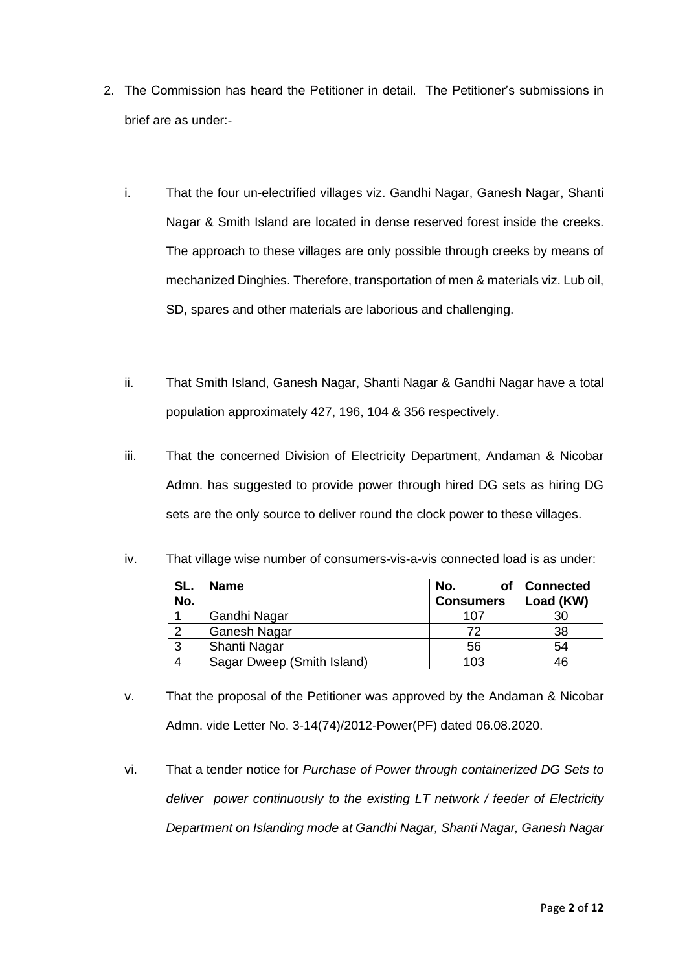- 2. The Commission has heard the Petitioner in detail. The Petitioner's submissions in brief are as under:
	- i. That the four un-electrified villages viz. Gandhi Nagar, Ganesh Nagar, Shanti Nagar & Smith Island are located in dense reserved forest inside the creeks. The approach to these villages are only possible through creeks by means of mechanized Dinghies. Therefore, transportation of men & materials viz. Lub oil, SD, spares and other materials are laborious and challenging.
	- ii. That Smith Island, Ganesh Nagar, Shanti Nagar & Gandhi Nagar have a total population approximately 427, 196, 104 & 356 respectively.
	- iii. That the concerned Division of Electricity Department, Andaman & Nicobar Admn. has suggested to provide power through hired DG sets as hiring DG sets are the only source to deliver round the clock power to these villages.

| SL.<br>No. | <b>Name</b>                | No.<br><b>Consumers</b> | <b>Connected</b><br>Load (KW) |
|------------|----------------------------|-------------------------|-------------------------------|
|            | Gandhi Nagar               | 107                     | 30                            |
|            | <b>Ganesh Nagar</b>        | 72                      | 38                            |
| ົ          | Shanti Nagar               | 56                      | 54                            |
|            | Sagar Dweep (Smith Island) | 103                     | 46                            |

iv. That village wise number of consumers-vis-a-vis connected load is as under:

- v. That the proposal of the Petitioner was approved by the Andaman & Nicobar Admn. vide Letter No. 3-14(74)/2012-Power(PF) dated 06.08.2020.
- vi. That a tender notice for *Purchase of Power through containerized DG Sets to deliver power continuously to the existing LT network / feeder of Electricity Department on Islanding mode at Gandhi Nagar, Shanti Nagar, Ganesh Nagar*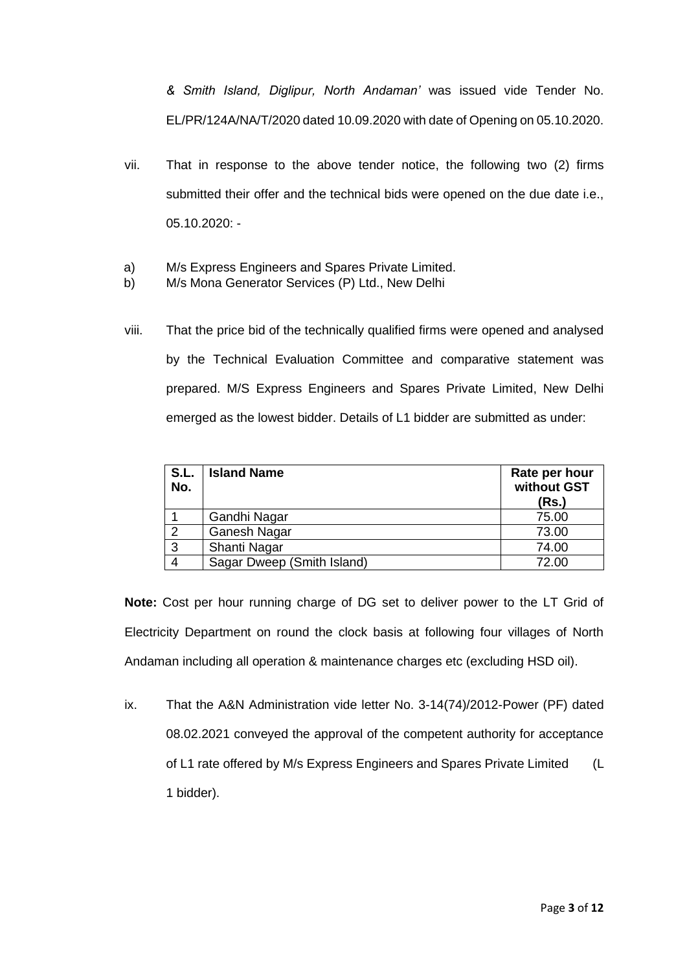*& Smith Island, Diglipur, North Andaman'* was issued vide Tender No. EL/PR/124A/NA/T/2020 dated 10.09.2020 with date of Opening on 05.10.2020.

- vii. That in response to the above tender notice, the following two (2) firms submitted their offer and the technical bids were opened on the due date i.e., 05.10.2020: -
- a) M/s Express Engineers and Spares Private Limited.
- b) M/s Mona Generator Services (P) Ltd., New Delhi
- viii. That the price bid of the technically qualified firms were opened and analysed by the Technical Evaluation Committee and comparative statement was prepared. M/S Express Engineers and Spares Private Limited, New Delhi emerged as the lowest bidder. Details of L1 bidder are submitted as under:

| S.L.<br>No. | <b>Island Name</b>         | Rate per hour<br>without GST<br>(Rs.) |
|-------------|----------------------------|---------------------------------------|
|             | Gandhi Nagar               | 75.00                                 |
| っ           | <b>Ganesh Nagar</b>        | 73.00                                 |
| 3           | Shanti Nagar               | 74.00                                 |
|             | Sagar Dweep (Smith Island) | 72.00                                 |

**Note:** Cost per hour running charge of DG set to deliver power to the LT Grid of Electricity Department on round the clock basis at following four villages of North Andaman including all operation & maintenance charges etc (excluding HSD oil).

ix. That the A&N Administration vide letter No. 3-14(74)/2012-Power (PF) dated 08.02.2021 conveyed the approval of the competent authority for acceptance of L1 rate offered by M/s Express Engineers and Spares Private Limited (L 1 bidder).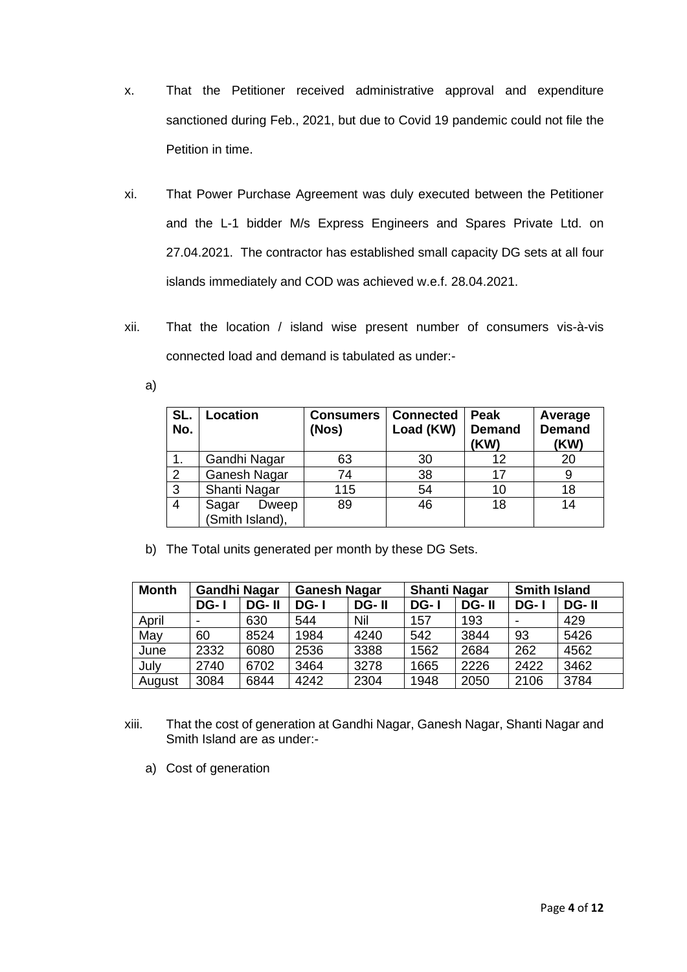- x. That the Petitioner received administrative approval and expenditure sanctioned during Feb., 2021, but due to Covid 19 pandemic could not file the Petition in time.
- xi. That Power Purchase Agreement was duly executed between the Petitioner and the L-1 bidder M/s Express Engineers and Spares Private Ltd. on 27.04.2021. The contractor has established small capacity DG sets at all four islands immediately and COD was achieved w.e.f. 28.04.2021.
- xii. That the location / island wise present number of consumers vis-à-vis connected load and demand is tabulated as under:
	- a)

| SL.<br>No.     | Location                          | <b>Consumers</b><br>(Nos) | <b>Connected</b><br>Load (KW) | Peak<br><b>Demand</b><br>(KW) | Average<br><b>Demand</b><br>(KW) |
|----------------|-----------------------------------|---------------------------|-------------------------------|-------------------------------|----------------------------------|
|                | Gandhi Nagar                      | 63                        | 30                            | 12                            | 20                               |
| $\overline{2}$ | Ganesh Nagar                      | 74                        | 38                            | 17                            | 9                                |
| 3              | Shanti Nagar                      | 115                       | 54                            | 10                            | 18                               |
|                | Sagar<br>Dweep<br>(Smith Island), | 89                        | 46                            | 18                            | 14                               |

b) The Total units generated per month by these DG Sets.

| <b>Month</b> | <b>Gandhi Nagar</b> |       | <b>Ganesh Nagar</b> |       | <b>Shanti Nagar</b> |       | <b>Smith Island</b> |       |
|--------------|---------------------|-------|---------------------|-------|---------------------|-------|---------------------|-------|
|              | DG-1                | DG-II | DG-1                | DG-II | DG-1                | DG-II | $DG-1$              | DG-II |
| April        |                     | 630   | 544                 | Nil   | 157                 | 193   |                     | 429   |
| May          | 60                  | 8524  | 1984                | 4240  | 542                 | 3844  | 93                  | 5426  |
| June         | 2332                | 6080  | 2536                | 3388  | 1562                | 2684  | 262                 | 4562  |
| July         | 2740                | 6702  | 3464                | 3278  | 1665                | 2226  | 2422                | 3462  |
| August       | 3084                | 6844  | 4242                | 2304  | 1948                | 2050  | 2106                | 3784  |

- xiii. That the cost of generation at Gandhi Nagar, Ganesh Nagar, Shanti Nagar and Smith Island are as under:
	- a) Cost of generation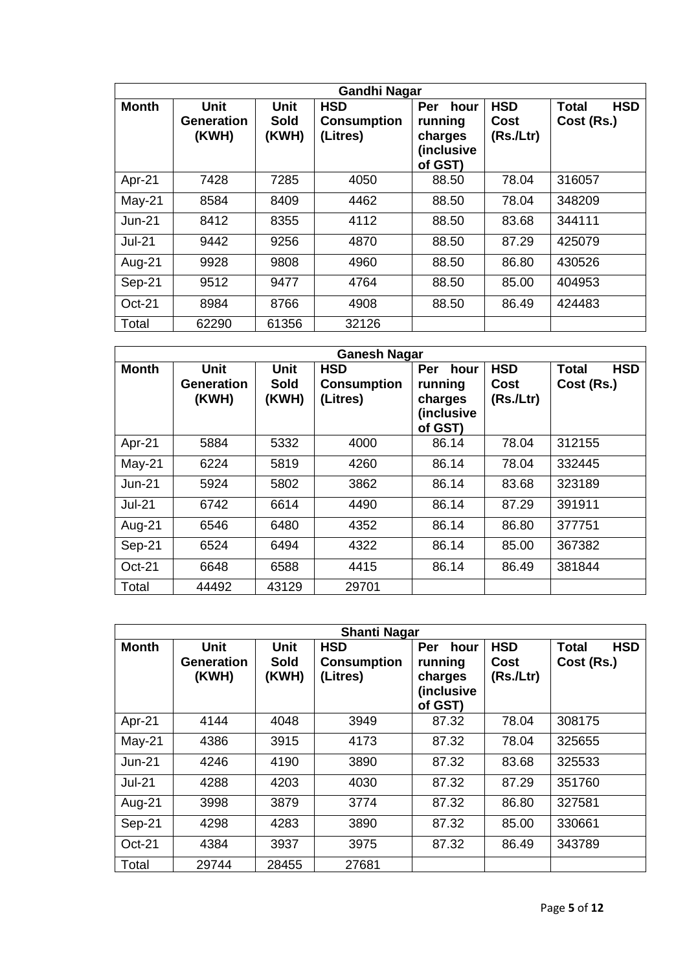| <b>Gandhi Nagar</b> |                                    |                              |                                              |                                                            |                                |                                          |
|---------------------|------------------------------------|------------------------------|----------------------------------------------|------------------------------------------------------------|--------------------------------|------------------------------------------|
| <b>Month</b>        | <b>Unit</b><br>Generation<br>(KWH) | <b>Unit</b><br>Sold<br>(KWH) | <b>HSD</b><br><b>Consumption</b><br>(Litres) | Per<br>hour<br>running<br>charges<br>(inclusive<br>of GST) | <b>HSD</b><br>Cost<br>(Rs/Ltr) | <b>Total</b><br><b>HSD</b><br>Cost (Rs.) |
| Apr-21              | 7428                               | 7285                         | 4050                                         | 88.50                                                      | 78.04                          | 316057                                   |
| $May-21$            | 8584                               | 8409                         | 4462                                         | 88.50                                                      | 78.04                          | 348209                                   |
| $Jun-21$            | 8412                               | 8355                         | 4112                                         | 88.50                                                      | 83.68                          | 344111                                   |
| <b>Jul-21</b>       | 9442                               | 9256                         | 4870                                         | 88.50                                                      | 87.29                          | 425079                                   |
| Aug-21              | 9928                               | 9808                         | 4960                                         | 88.50                                                      | 86.80                          | 430526                                   |
| Sep-21              | 9512                               | 9477                         | 4764                                         | 88.50                                                      | 85.00                          | 404953                                   |
| Oct-21              | 8984                               | 8766                         | 4908                                         | 88.50                                                      | 86.49                          | 424483                                   |
| Total               | 62290                              | 61356                        | 32126                                        |                                                            |                                |                                          |

| <b>Ganesh Nagar</b> |                                    |                                     |                                              |                                                            |                                 |                                          |
|---------------------|------------------------------------|-------------------------------------|----------------------------------------------|------------------------------------------------------------|---------------------------------|------------------------------------------|
| <b>Month</b>        | <b>Unit</b><br>Generation<br>(KWH) | <b>Unit</b><br><b>Sold</b><br>(KWH) | <b>HSD</b><br><b>Consumption</b><br>(Litres) | Per<br>hour<br>running<br>charges<br>(inclusive<br>of GST) | <b>HSD</b><br>Cost<br>(Rs.lLtr) | <b>Total</b><br><b>HSD</b><br>Cost (Rs.) |
| Apr-21              | 5884                               | 5332                                | 4000                                         | 86.14                                                      | 78.04                           | 312155                                   |
| May-21              | 6224                               | 5819                                | 4260                                         | 86.14                                                      | 78.04                           | 332445                                   |
| $Jun-21$            | 5924                               | 5802                                | 3862                                         | 86.14                                                      | 83.68                           | 323189                                   |
| <b>Jul-21</b>       | 6742                               | 6614                                | 4490                                         | 86.14                                                      | 87.29                           | 391911                                   |
| Aug-21              | 6546                               | 6480                                | 4352                                         | 86.14                                                      | 86.80                           | 377751                                   |
| Sep-21              | 6524                               | 6494                                | 4322                                         | 86.14                                                      | 85.00                           | 367382                                   |
| Oct-21              | 6648                               | 6588                                | 4415                                         | 86.14                                                      | 86.49                           | 381844                                   |
| Total               | 44492                              | 43129                               | 29701                                        |                                                            |                                 |                                          |

| <b>Shanti Nagar</b> |                                    |                              |                                              |                                                                   |                                 |                                          |
|---------------------|------------------------------------|------------------------------|----------------------------------------------|-------------------------------------------------------------------|---------------------------------|------------------------------------------|
| <b>Month</b>        | <b>Unit</b><br>Generation<br>(KWH) | <b>Unit</b><br>Sold<br>(KWH) | <b>HSD</b><br><b>Consumption</b><br>(Litres) | <b>Per</b><br>hour<br>running<br>charges<br>(inclusive<br>of GST) | <b>HSD</b><br>Cost<br>(Rs.lLtr) | <b>HSD</b><br><b>Total</b><br>Cost (Rs.) |
| Apr-21              | 4144                               | 4048                         | 3949                                         | 87.32                                                             | 78.04                           | 308175                                   |
| $May-21$            | 4386                               | 3915                         | 4173                                         | 87.32                                                             | 78.04                           | 325655                                   |
| $Jun-21$            | 4246                               | 4190                         | 3890                                         | 87.32                                                             | 83.68                           | 325533                                   |
| <b>Jul-21</b>       | 4288                               | 4203                         | 4030                                         | 87.32                                                             | 87.29                           | 351760                                   |
| Aug-21              | 3998                               | 3879                         | 3774                                         | 87.32                                                             | 86.80                           | 327581                                   |
| Sep-21              | 4298                               | 4283                         | 3890                                         | 87.32                                                             | 85.00                           | 330661                                   |
| Oct-21              | 4384                               | 3937                         | 3975                                         | 87.32                                                             | 86.49                           | 343789                                   |
| Total               | 29744                              | 28455                        | 27681                                        |                                                                   |                                 |                                          |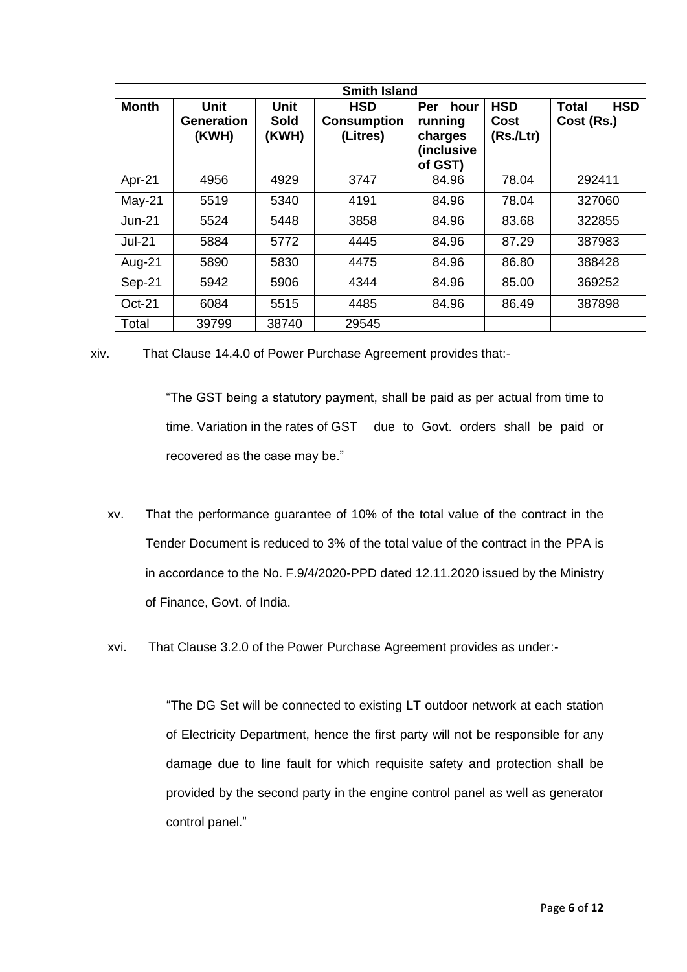| <b>Smith Island</b> |                                           |                       |                                              |                                                            |                                 |                                          |
|---------------------|-------------------------------------------|-----------------------|----------------------------------------------|------------------------------------------------------------|---------------------------------|------------------------------------------|
| <b>Month</b>        | <b>Unit</b><br><b>Generation</b><br>(KWH) | Unit<br>Sold<br>(KWH) | <b>HSD</b><br><b>Consumption</b><br>(Litres) | Per<br>hour<br>running<br>charges<br>(inclusive<br>of GST) | <b>HSD</b><br>Cost<br>(Rs.lLtr) | <b>HSD</b><br><b>Total</b><br>Cost (Rs.) |
| Apr-21              | 4956                                      | 4929                  | 3747                                         | 84.96                                                      | 78.04                           | 292411                                   |
| May-21              | 5519                                      | 5340                  | 4191                                         | 84.96                                                      | 78.04                           | 327060                                   |
| <b>Jun-21</b>       | 5524                                      | 5448                  | 3858                                         | 84.96                                                      | 83.68                           | 322855                                   |
| <b>Jul-21</b>       | 5884                                      | 5772                  | 4445                                         | 84.96                                                      | 87.29                           | 387983                                   |
| Aug-21              | 5890                                      | 5830                  | 4475                                         | 84.96                                                      | 86.80                           | 388428                                   |
| Sep-21              | 5942                                      | 5906                  | 4344                                         | 84.96                                                      | 85.00                           | 369252                                   |
| Oct-21              | 6084                                      | 5515                  | 4485                                         | 84.96                                                      | 86.49                           | 387898                                   |
| Total               | 39799                                     | 38740                 | 29545                                        |                                                            |                                 |                                          |

xiv. That Clause 14.4.0 of Power Purchase Agreement provides that:-

"The GST being a statutory payment, shall be paid as per actual from time to time. Variation in the rates of GST due to Govt. orders shall be paid or recovered as the case may be."

- xv. That the performance guarantee of 10% of the total value of the contract in the Tender Document is reduced to 3% of the total value of the contract in the PPA is in accordance to the No. F.9/4/2020-PPD dated 12.11.2020 issued by the Ministry of Finance, Govt. of India.
- xvi. That Clause 3.2.0 of the Power Purchase Agreement provides as under:-

"The DG Set will be connected to existing LT outdoor network at each station of Electricity Department, hence the first party will not be responsible for any damage due to line fault for which requisite safety and protection shall be provided by the second party in the engine control panel as well as generator control panel."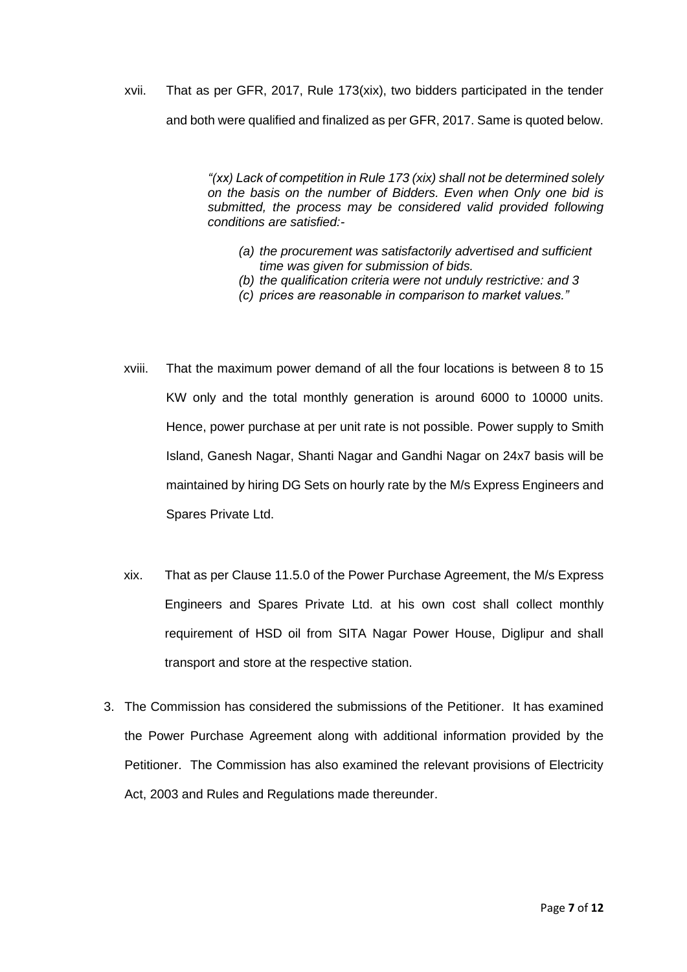xvii. That as per GFR, 2017, Rule 173(xix), two bidders participated in the tender and both were qualified and finalized as per GFR, 2017. Same is quoted below.

> *"(xx) Lack of competition in Rule 173 (xix) shall not be determined solely on the basis on the number of Bidders. Even when Only one bid is submitted, the process may be considered valid provided following conditions are satisfied:-*

- *(a) the procurement was satisfactorily advertised and sufficient time was given for submission of bids.*
- *(b) the qualification criteria were not unduly restrictive: and 3*
- *(c) prices are reasonable in comparison to market values."*
- xviii. That the maximum power demand of all the four locations is between 8 to 15 KW only and the total monthly generation is around 6000 to 10000 units. Hence, power purchase at per unit rate is not possible. Power supply to Smith Island, Ganesh Nagar, Shanti Nagar and Gandhi Nagar on 24x7 basis will be maintained by hiring DG Sets on hourly rate by the M/s Express Engineers and Spares Private Ltd.
- xix. That as per Clause 11.5.0 of the Power Purchase Agreement, the M/s Express Engineers and Spares Private Ltd. at his own cost shall collect monthly requirement of HSD oil from SITA Nagar Power House, Diglipur and shall transport and store at the respective station.
- 3. The Commission has considered the submissions of the Petitioner. It has examined the Power Purchase Agreement along with additional information provided by the Petitioner. The Commission has also examined the relevant provisions of Electricity Act, 2003 and Rules and Regulations made thereunder.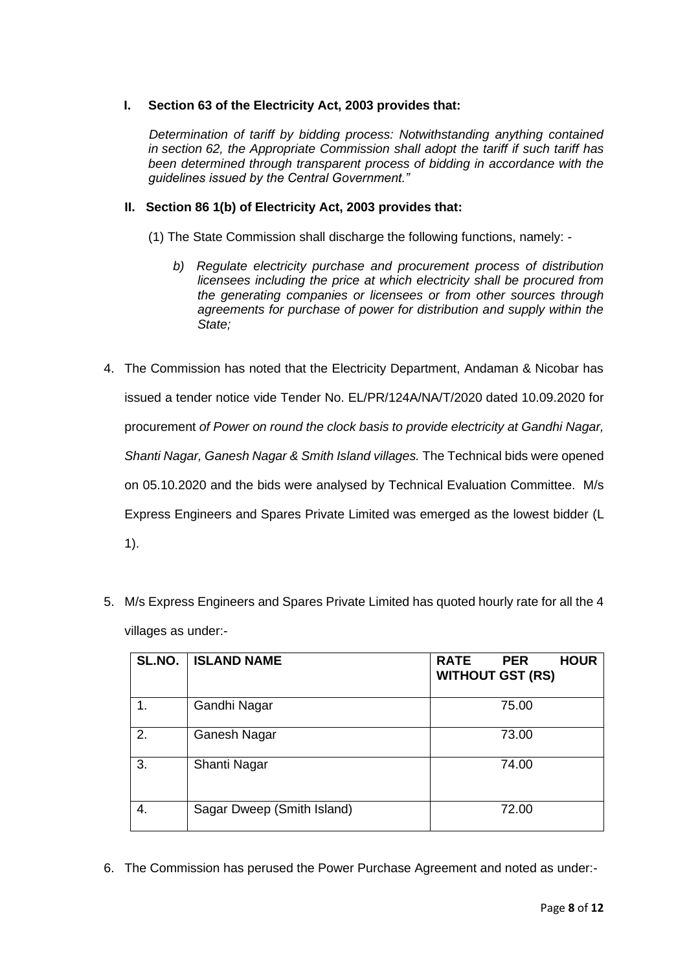# **I. Section 63 of the Electricity Act, 2003 provides that:**

*Determination of tariff by bidding process: Notwithstanding anything contained in section 62, the Appropriate Commission shall adopt the tariff if such tariff has been determined through transparent process of bidding in accordance with the guidelines issued by the Central Government."*

### **II. Section 86 1(b) of Electricity Act, 2003 provides that:**

(1) The State Commission shall discharge the following functions, namely: -

- *b) Regulate electricity purchase and procurement process of distribution licensees including the price at which electricity shall be procured from the generating companies or licensees or from other sources through agreements for purchase of power for distribution and supply within the State;*
- 4. The Commission has noted that the Electricity Department, Andaman & Nicobar has issued a tender notice vide Tender No. EL/PR/124A/NA/T/2020 dated 10.09.2020 for procurement *of Power on round the clock basis to provide electricity at Gandhi Nagar, Shanti Nagar, Ganesh Nagar & Smith Island villages.* The Technical bids were opened on 05.10.2020 and the bids were analysed by Technical Evaluation Committee. M/s Express Engineers and Spares Private Limited was emerged as the lowest bidder (L 1).
- 5. M/s Express Engineers and Spares Private Limited has quoted hourly rate for all the 4 villages as under:-

| SL.NO. | <b>ISLAND NAME</b>         | <b>RATE</b><br><b>HOUR</b><br><b>PER</b><br><b>WITHOUT GST (RS)</b> |
|--------|----------------------------|---------------------------------------------------------------------|
| 1.     | Gandhi Nagar               | 75.00                                                               |
| 2.     | Ganesh Nagar               | 73.00                                                               |
| 3.     | Shanti Nagar               | 74.00                                                               |
| 4.     | Sagar Dweep (Smith Island) | 72.00                                                               |

6. The Commission has perused the Power Purchase Agreement and noted as under:-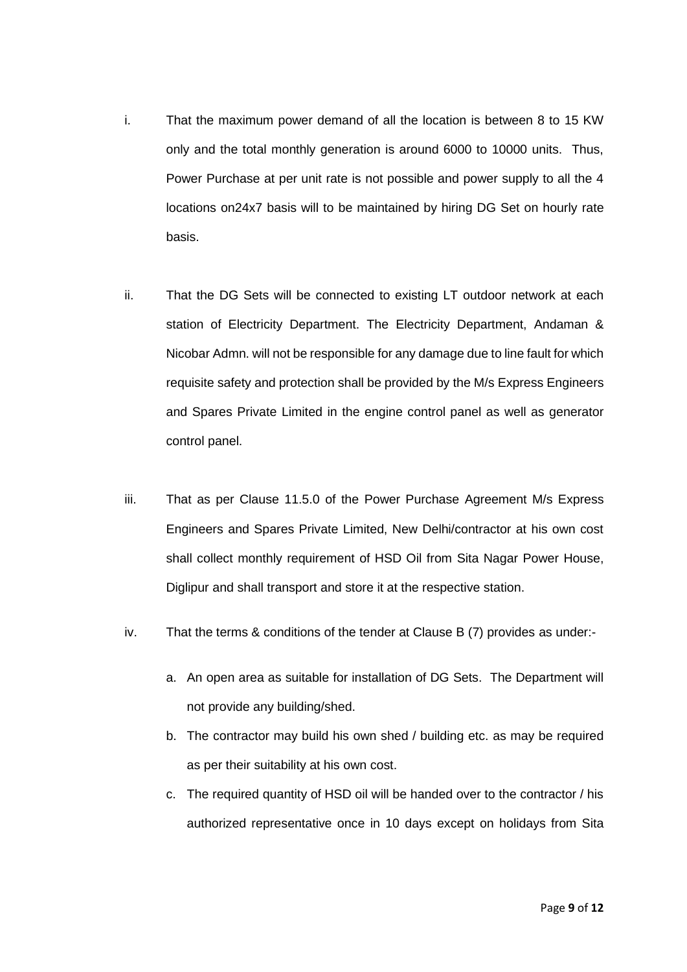- i. That the maximum power demand of all the location is between 8 to 15 KW only and the total monthly generation is around 6000 to 10000 units. Thus, Power Purchase at per unit rate is not possible and power supply to all the 4 locations on24x7 basis will to be maintained by hiring DG Set on hourly rate basis.
- ii. That the DG Sets will be connected to existing LT outdoor network at each station of Electricity Department. The Electricity Department, Andaman & Nicobar Admn. will not be responsible for any damage due to line fault for which requisite safety and protection shall be provided by the M/s Express Engineers and Spares Private Limited in the engine control panel as well as generator control panel.
- iii. That as per Clause 11.5.0 of the Power Purchase Agreement M/s Express Engineers and Spares Private Limited, New Delhi/contractor at his own cost shall collect monthly requirement of HSD Oil from Sita Nagar Power House, Diglipur and shall transport and store it at the respective station.
- iv. That the terms & conditions of the tender at Clause B (7) provides as under:
	- a. An open area as suitable for installation of DG Sets. The Department will not provide any building/shed.
	- b. The contractor may build his own shed / building etc. as may be required as per their suitability at his own cost.
	- c. The required quantity of HSD oil will be handed over to the contractor / his authorized representative once in 10 days except on holidays from Sita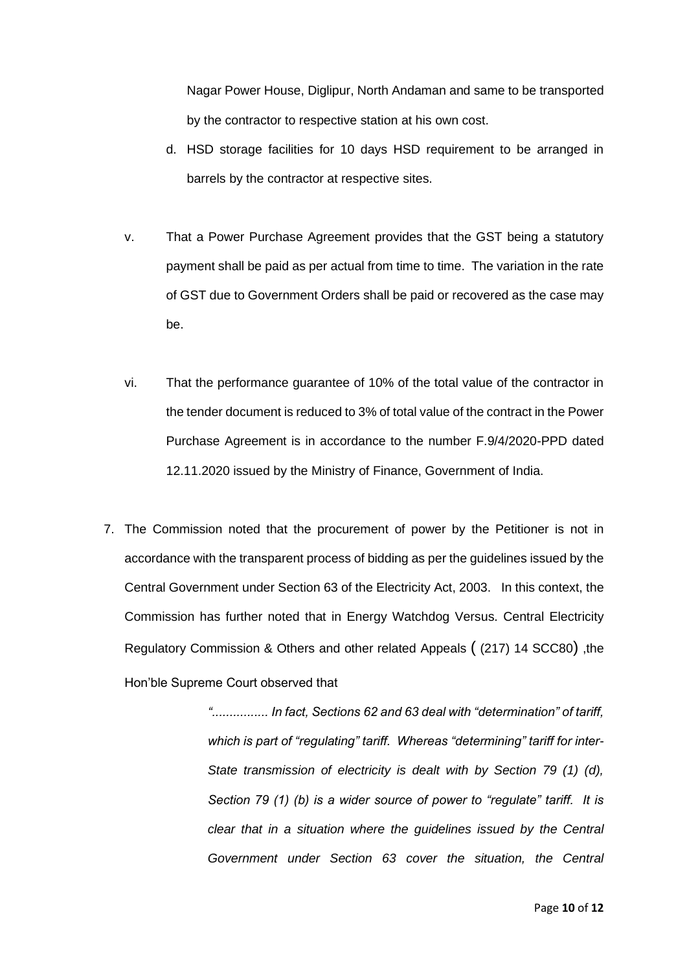Nagar Power House, Diglipur, North Andaman and same to be transported by the contractor to respective station at his own cost.

- d. HSD storage facilities for 10 days HSD requirement to be arranged in barrels by the contractor at respective sites.
- v. That a Power Purchase Agreement provides that the GST being a statutory payment shall be paid as per actual from time to time. The variation in the rate of GST due to Government Orders shall be paid or recovered as the case may be.
- vi. That the performance guarantee of 10% of the total value of the contractor in the tender document is reduced to 3% of total value of the contract in the Power Purchase Agreement is in accordance to the number F.9/4/2020-PPD dated 12.11.2020 issued by the Ministry of Finance, Government of India.
- 7. The Commission noted that the procurement of power by the Petitioner is not in accordance with the transparent process of bidding as per the guidelines issued by the Central Government under Section 63 of the Electricity Act, 2003. In this context, the Commission has further noted that in Energy Watchdog Versus. Central Electricity Regulatory Commission & Others and other related Appeals ( (217) 14 SCC80) ,the Hon'ble Supreme Court observed that

*"................ In fact, Sections 62 and 63 deal with "determination" of tariff, which is part of "regulating" tariff. Whereas "determining" tariff for inter-State transmission of electricity is dealt with by Section 79 (1) (d), Section 79 (1) (b) is a wider source of power to "regulate" tariff. It is clear that in a situation where the guidelines issued by the Central Government under Section 63 cover the situation, the Central*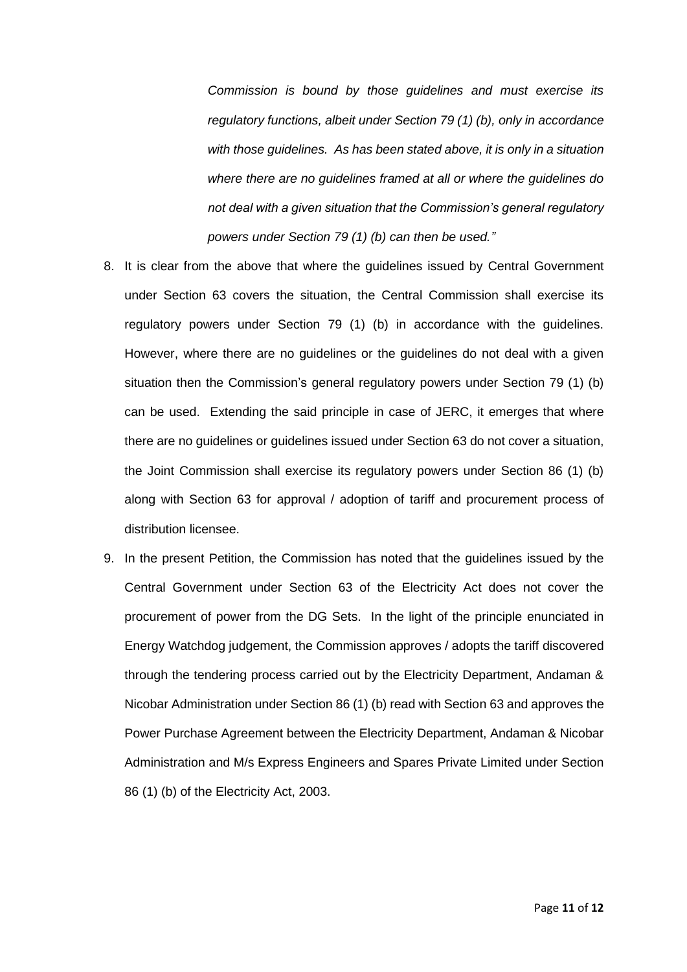*Commission is bound by those guidelines and must exercise its regulatory functions, albeit under Section 79 (1) (b), only in accordance with those guidelines. As has been stated above, it is only in a situation where there are no guidelines framed at all or where the guidelines do not deal with a given situation that the Commission's general regulatory powers under Section 79 (1) (b) can then be used."*

- 8. It is clear from the above that where the guidelines issued by Central Government under Section 63 covers the situation, the Central Commission shall exercise its regulatory powers under Section 79 (1) (b) in accordance with the guidelines. However, where there are no guidelines or the guidelines do not deal with a given situation then the Commission's general regulatory powers under Section 79 (1) (b) can be used. Extending the said principle in case of JERC, it emerges that where there are no guidelines or guidelines issued under Section 63 do not cover a situation, the Joint Commission shall exercise its regulatory powers under Section 86 (1) (b) along with Section 63 for approval / adoption of tariff and procurement process of distribution licensee.
- 9. In the present Petition, the Commission has noted that the guidelines issued by the Central Government under Section 63 of the Electricity Act does not cover the procurement of power from the DG Sets. In the light of the principle enunciated in Energy Watchdog judgement, the Commission approves / adopts the tariff discovered through the tendering process carried out by the Electricity Department, Andaman & Nicobar Administration under Section 86 (1) (b) read with Section 63 and approves the Power Purchase Agreement between the Electricity Department, Andaman & Nicobar Administration and M/s Express Engineers and Spares Private Limited under Section 86 (1) (b) of the Electricity Act, 2003.